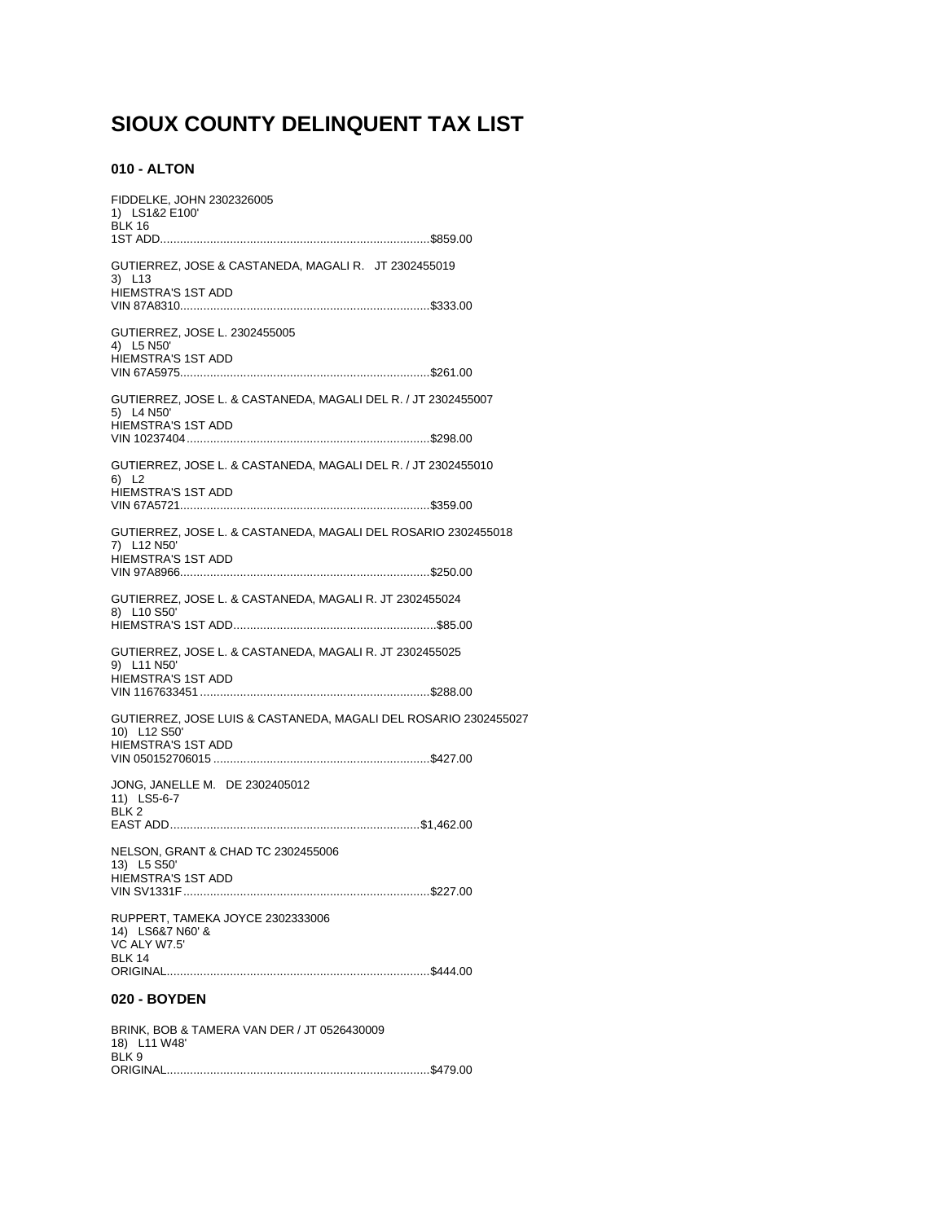# SIOUX COUNTY DELINQUENT TAX LIST

## 010 - ALTON

| FIDDELKE, JOHN 2302326005<br>1) LS1&2 E100'<br><b>BLK 16</b>                                              |
|-----------------------------------------------------------------------------------------------------------|
|                                                                                                           |
| GUTIERREZ, JOSE & CASTANEDA, MAGALI R. JT 2302455019<br>3) L13<br><b>HIEMSTRA'S 1ST ADD</b>               |
|                                                                                                           |
| GUTIERREZ, JOSE L. 2302455005<br>4) L5 N50'<br>HIEMSTRA'S 1ST ADD                                         |
|                                                                                                           |
| GUTIERREZ, JOSE L. & CASTANEDA, MAGALI DEL R. / JT 2302455007<br>5) L4 N50'<br><b>HIEMSTRA'S 1ST ADD</b>  |
|                                                                                                           |
| GUTIERREZ, JOSE L. & CASTANEDA, MAGALI DEL R. / JT 2302455010<br>6) L2<br><b>HIEMSTRA'S 1ST ADD</b>       |
|                                                                                                           |
| GUTIERREZ, JOSE L. & CASTANEDA, MAGALI DEL ROSARIO 2302455018<br>7) L12 N50'<br><b>HIEMSTRA'S 1ST ADD</b> |
|                                                                                                           |
| GUTIERREZ, JOSE L. & CASTANEDA, MAGALI R. JT 2302455024<br>8) L10 S50'                                    |
|                                                                                                           |
| GUTIERREZ, JOSE L. & CASTANEDA, MAGALI R. JT 2302455025<br>9) L11 N50'<br><b>HIEMSTRA'S 1ST ADD</b>       |
|                                                                                                           |
| GUTIERREZ, JOSE LUIS & CASTANEDA, MAGALI DEL ROSARIO 2302455027<br>10) L12 S50'<br>HIEMSTRA'S 1ST ADD     |
|                                                                                                           |
| JONG, JANELLE M. DE 2302405012<br>11) LS5-6-7<br>BLK <sub>2</sub>                                         |
|                                                                                                           |
| NELSON, GRANT & CHAD TC 2302455006<br>13) L5 S50'                                                         |
| <b>HIEMSTRA'S 1ST ADD</b>                                                                                 |
| RUPPERT, TAMEKA JOYCE 2302333006<br>14) LS6&7 N60' &<br>VC ALY W7.5'<br><b>BLK 14</b>                     |
|                                                                                                           |
|                                                                                                           |

## 020 - BOYDEN

| BRINK, BOB & TAMERA VAN DER / JT 0526430009 |  |
|---------------------------------------------|--|
| 18) L11 W48'                                |  |
| BLK 9                                       |  |
|                                             |  |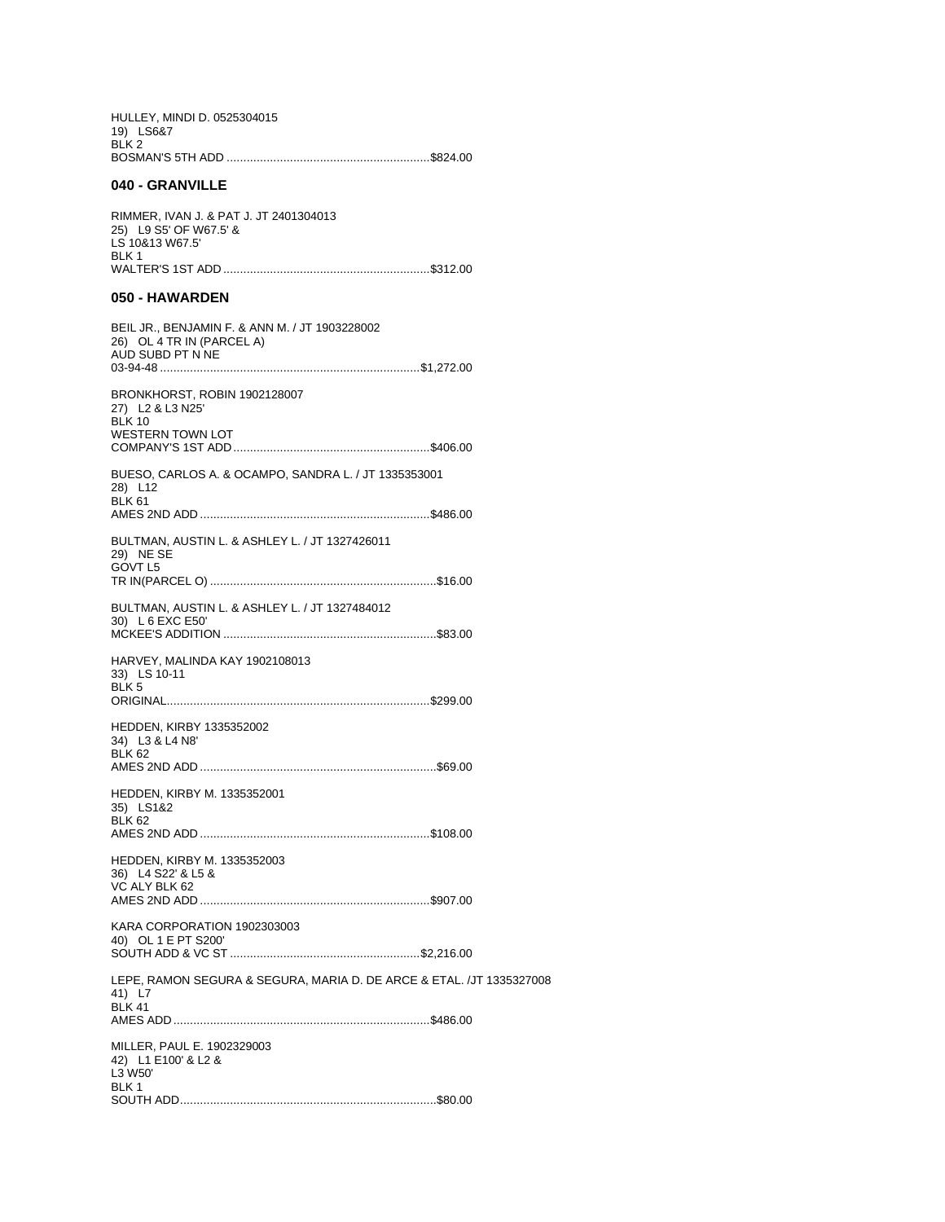| HULLEY, MINDI D. 0525304015 |  |
|-----------------------------|--|
| 19) LS6&7                   |  |
| BLK 2                       |  |
|                             |  |

## 040 - GRANVILLE

| RIMMER. IVAN J. & PAT J. JT 2401304013 |  |
|----------------------------------------|--|
| 25) L9 S5' OF W67.5' &                 |  |
| LS 10&13 W67.5'                        |  |
| BI K 1                                 |  |
|                                        |  |

## 050 - HAWARDEN

| BEIL JR., BENJAMIN F. & ANN M. / JT 1903228002<br>26) OL 4 TR IN (PARCEL A)<br>AUD SUBD PT N NE |
|-------------------------------------------------------------------------------------------------|
| BRONKHORST, ROBIN 1902128007<br>27) L2 & L3 N25'<br><b>BLK 10</b><br><b>WESTERN TOWN LOT</b>    |
| BUESO, CARLOS A. & OCAMPO, SANDRA L. / JT 1335353001<br>28) L12<br><b>BLK 61</b>                |
| BULTMAN, AUSTIN L. & ASHLEY L. / JT 1327426011<br>29) NE SE<br>GOVT L5                          |
| BULTMAN, AUSTIN L. & ASHLEY L. / JT 1327484012<br>30) L 6 EXC E50'                              |
| HARVEY, MALINDA KAY 1902108013<br>33) LS 10-11<br>BLK <sub>5</sub>                              |
| <b>HEDDEN, KIRBY 1335352002</b><br>34) L3 & L4 N8'<br><b>BLK 62</b>                             |
| <b>HEDDEN, KIRBY M. 1335352001</b><br>35) LS1&2<br><b>BLK 62</b>                                |
| <b>HEDDEN, KIRBY M. 1335352003</b><br>36) L4 S22' & L5 &<br>VC ALY BLK 62                       |
| KARA CORPORATION 1902303003<br>40) OL 1 E PT S200'                                              |
| LEPE, RAMON SEGURA & SEGURA, MARIA D. DE ARCE & ETAL. /JT 1335327008<br>41) L7<br><b>BLK 41</b> |
| MILLER, PAUL E. 1902329003<br>42) L1 E100' & L2 &<br>L3 W50'<br>BLK 1                           |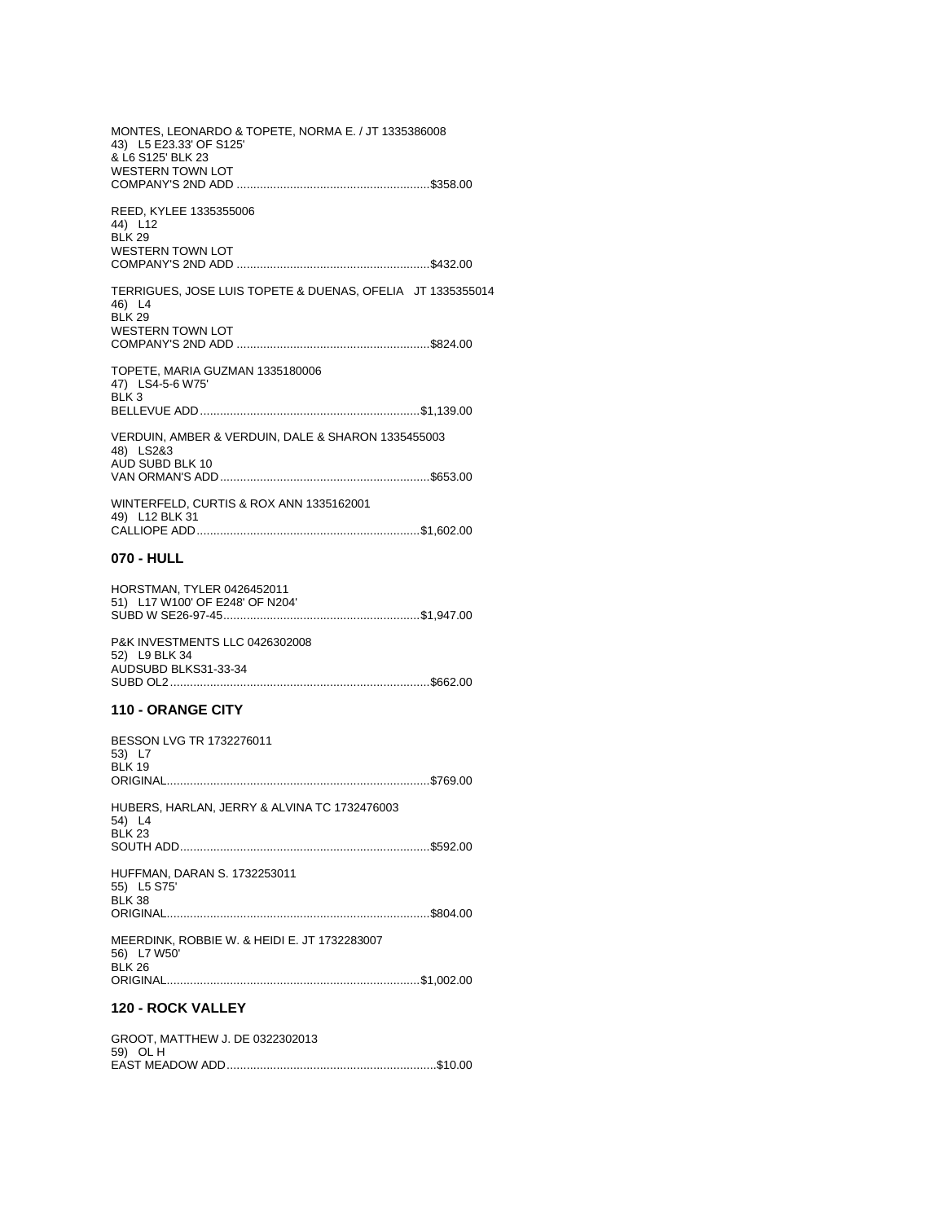MONTES, LEONARDO & TOPETE, NORMA E. / JT 1335386008 43) L5 E23.33' OF S125' & L6 S125' BLK 23 **WESTERN TOWN LOT** REED, KYLEE 1335355006 44) L12  $BLK 29$ WESTERN TOWN LOT TERRIGUES, JOSE LUIS TOPETE & DUENAS, OFELIA JT 1335355014 46) L4<br>BLK 29 **WESTERN TOWN LOT** TOPETE, MARIA GUZMAN 1335180006 47) LS4-5-6 W75'  $BLK3$ VERDUIN, AMBER & VERDUIN, DALE & SHARON 1335455003 48) LS2&3 AUD SUBD BLK 10 WINTERFELD, CURTIS & ROX ANN 1335162001 49) L12 BLK 31 070 - HULL HORSTMAN, TYLER 0426452011 51) L17 W100' OF E248' OF N204' P&K INVESTMENTS LLC 0426302008 52) L9 BLK 34 AUDSUBD BLKS31-33-34 **110 - ORANGE CITY** BESSON LVG TR 1732276011 53) L7 **BLK 19** HUBERS, HARLAN, JERRY & ALVINA TC 1732476003 54) L4 **BLK 23** HUFFMAN, DARAN S. 1732253011 55) L5 S75' **BLK 38** MEERDINK, ROBBIE W. & HEIDI E. JT 1732283007 56) L7 W50'<br>BLK 26 

## 120 - ROCK VALLEY

| GROOT, MATTHEW J. DE 0322302013 |  |
|---------------------------------|--|
| 59) OL H                        |  |
|                                 |  |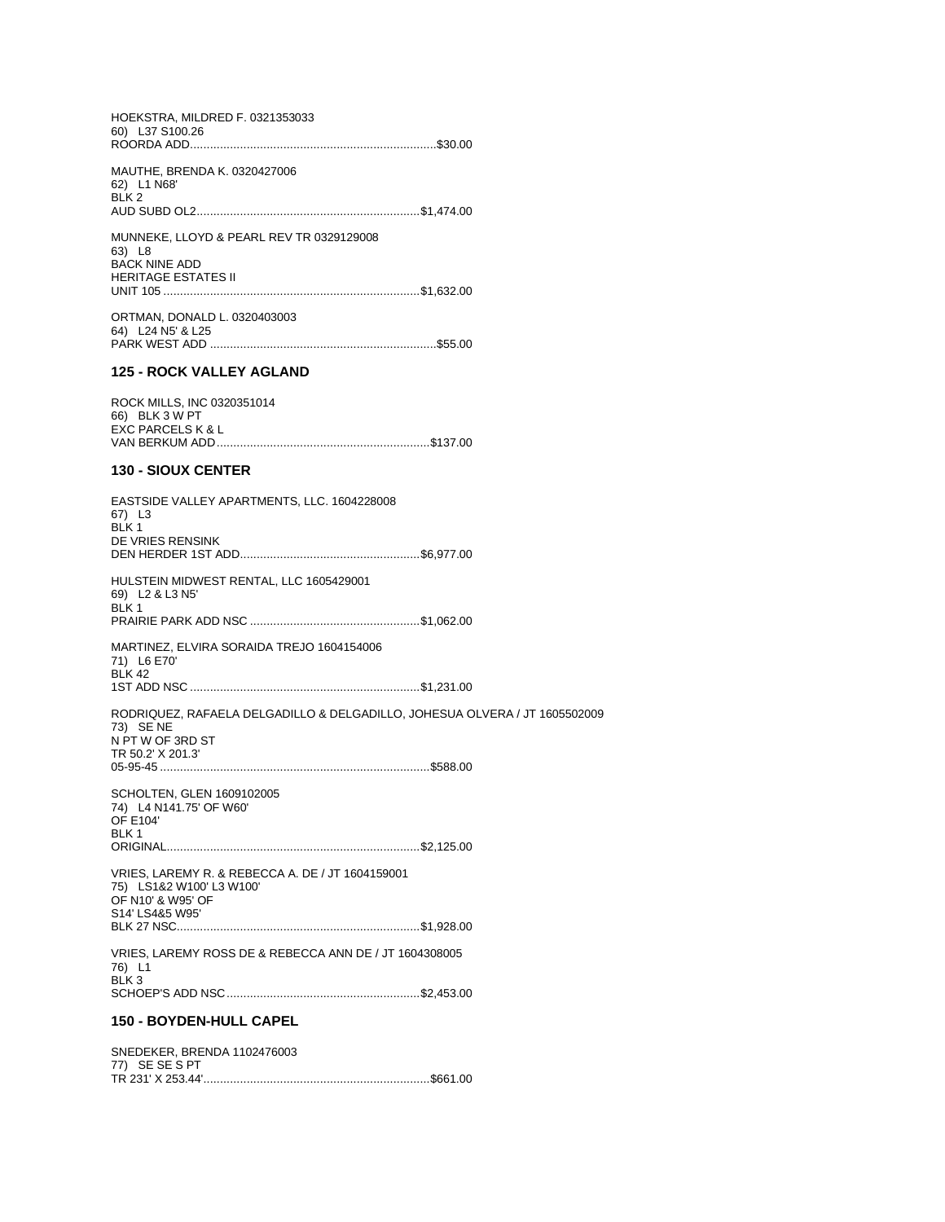HOEKSTRA, MILDRED F. 0321353033 60) L37 S100.26 

MAUTHE, BRENDA K. 0320427006 62) L1 N68'<br>BLK 2 

MUNNEKE, LLOYD & PEARL REV TR 0329129008 63) L8<br>BACK NINE ADD **HERITAGE ESTATES II** 

ORTMAN, DONALD L. 0320403003 64) L24 N5' & L25 

#### 125 - ROCK VALLEY AGLAND

ROCK MILLS, INC 0320351014 66) BLK 3 W PT<br>EXC PARCELS K & L 

### **130 - SIOUX CENTER**

| <b>150 - BOYDEN-HULL CAPEL</b>                                                                                                   |  |
|----------------------------------------------------------------------------------------------------------------------------------|--|
| VRIES, LAREMY ROSS DE & REBECCA ANN DE / JT 1604308005<br>76) L1<br>BLK <sub>3</sub>                                             |  |
| VRIES, LAREMY R. & REBECCA A. DE / JT 1604159001<br>75) LS1&2 W100' L3 W100'<br>OF N10' & W95' OF<br>S14' LS4&5 W95'             |  |
| SCHOLTEN, GLEN 1609102005<br>74) L4 N141.75' OF W60'<br><b>OF E104'</b><br>BLK 1                                                 |  |
| RODRIQUEZ, RAFAELA DELGADILLO & DELGADILLO, JOHESUA OLVERA / JT 1605502009<br>73) SE NE<br>N PT W OF 3RD ST<br>TR 50.2' X 201.3' |  |
| MARTINEZ, ELVIRA SORAIDA TREJO 1604154006<br>71) L6 E70'<br><b>BLK 42</b>                                                        |  |
| HULSTEIN MIDWEST RENTAL, LLC 1605429001<br>69) L2 & L3 N5'<br>BLK <sub>1</sub>                                                   |  |
| EASTSIDE VALLEY APARTMENTS, LLC. 1604228008<br>67) L3<br>BLK <sub>1</sub><br>DE VRIES RENSINK                                    |  |

SNEDEKER, BRENDA 1102476003 77) SE SE S PT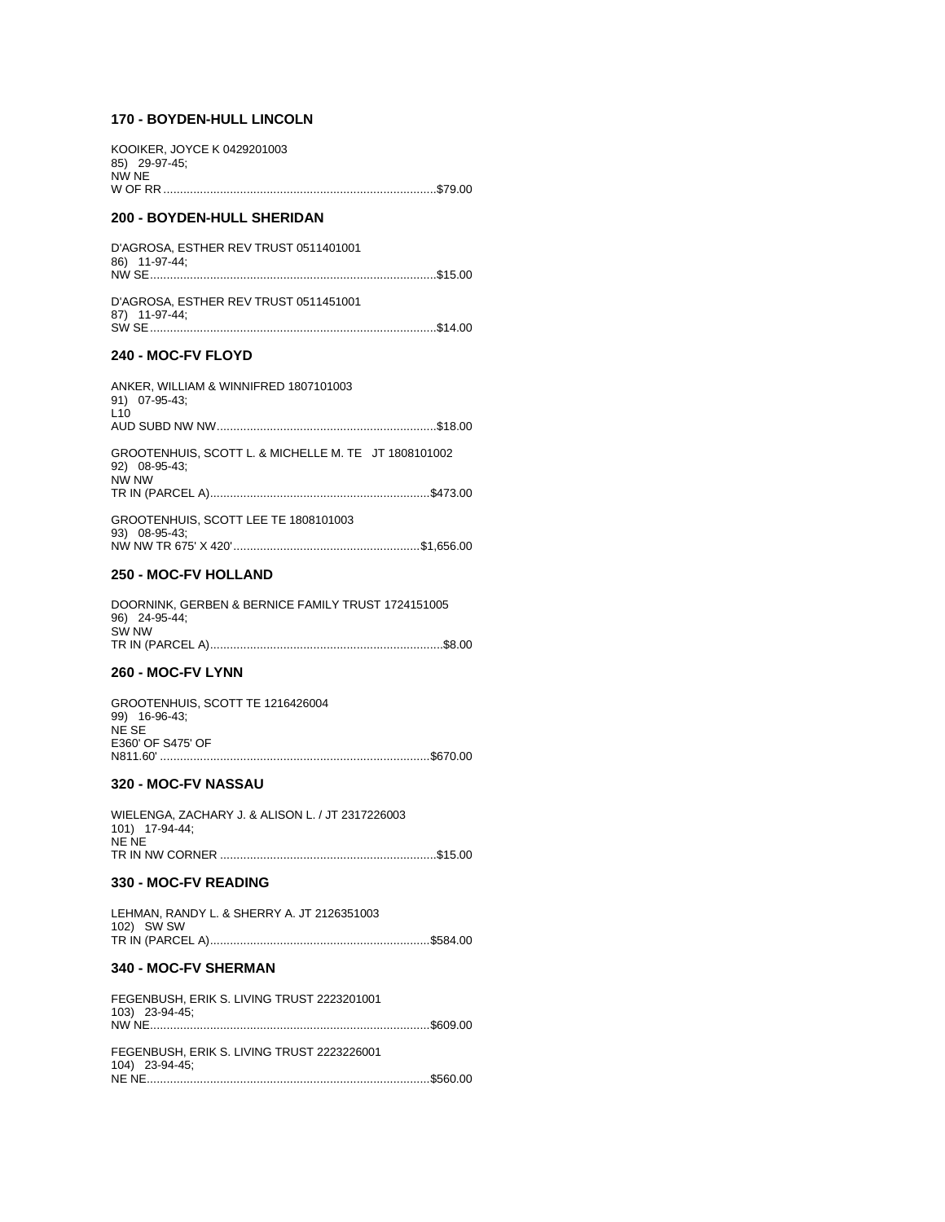## **170 - BOYDEN-HULL LINCOLN**

| <b>200 - BOYDEN-HULL SHERIDAN</b>                     |  |
|-------------------------------------------------------|--|
| KOOIKER. JOYCE K 0429201003<br>85) 29-97-45;<br>NW NE |  |
|                                                       |  |

### D'AGROSA, ESTHER REV TRUST 0511401001 86) 11-97-44; NW SE......................................................................................\$15.00 D'AGROSA, ESTHER REV TRUST 0511451001

87) 11-97-44; SW SE......................................................................................\$14.00

## **240 - MOC-FV FLOYD**

| ANKER, WILLIAM & WINNIFRED 1807101003<br>91) 07-95-43;<br>L10                  |  |
|--------------------------------------------------------------------------------|--|
|                                                                                |  |
| GROOTENHUIS, SCOTT L. & MICHELLE M. TE JT 1808101002<br>92) 08-95-43;<br>NW NW |  |
|                                                                                |  |
| GROOTENHUIS, SCOTT LEE TE 1808101003<br>93) 08-95-43;                          |  |
|                                                                                |  |

#### **250 - MOC-FV HOLLAND**

| DOORNINK, GERBEN & BERNICE FAMILY TRUST 1724151005 |  |
|----------------------------------------------------|--|
| 96) 24-95-44;                                      |  |
| SW NW                                              |  |
|                                                    |  |

#### **260 - MOC-FV LYNN**

| GROOTENHUIS, SCOTT TE 1216426004 |  |
|----------------------------------|--|
| 99) 16-96-43;                    |  |
| NF SF                            |  |
| E360' OF S475' OF                |  |
|                                  |  |
|                                  |  |

#### **320 - MOC-FV NASSAU**

| WIELENGA, ZACHARY J. & ALISON L. / JT 2317226003 |  |
|--------------------------------------------------|--|
| 101) 17-94-44;                                   |  |
| NE NE                                            |  |
|                                                  |  |

## **330 - MOC-FV READING**

|            | LEHMAN, RANDY L. & SHERRY A. JT 2126351003 |  |
|------------|--------------------------------------------|--|
| 102) SW SW |                                            |  |
|            |                                            |  |

## **340 - MOC-FV SHERMAN**

| FEGENBUSH, ERIK S. LIVING TRUST 2223201001<br>103) 23-94-45; |  |
|--------------------------------------------------------------|--|
| FEGENBUSH, ERIK S. LIVING TRUST 2223226001<br>104) 23-94-45: |  |
|                                                              |  |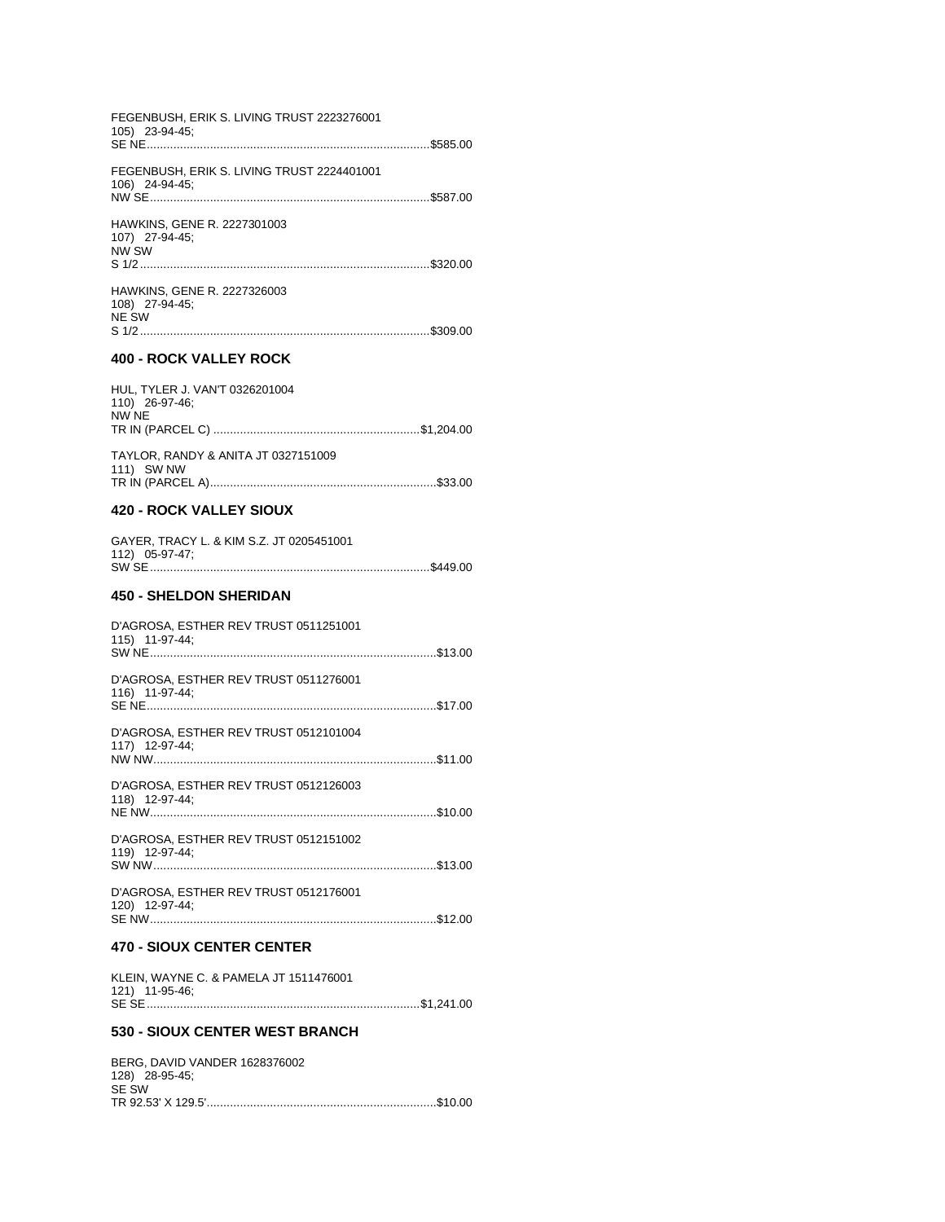| FEGENBUSH, ERIK S. LIVING TRUST 2223276001<br>105) 23-94-45; |  |
|--------------------------------------------------------------|--|
| FEGENBUSH, ERIK S. LIVING TRUST 2224401001<br>106) 24-94-45; |  |
| HAWKINS, GENE R. 2227301003<br>107) 27-94-45;<br>NW SW       |  |
| HAWKINS, GENE R. 2227326003<br>108) 27-94-45;<br>NE SW       |  |
| <b>400 - ROCK VALLEY ROCK</b>                                |  |
|                                                              |  |
| HUL, TYLER J. VAN'T 0326201004<br>110) 26-97-46;<br>NW NE    |  |
| TAYLOR, RANDY & ANITA JT 0327151009<br>111) SW NW            |  |
| <b>420 - ROCK VALLEY SIOUX</b>                               |  |
| GAYER, TRACY L. & KIM S.Z. JT 0205451001<br>112) 05-97-47;   |  |
| <b>450 - SHELDON SHERIDAN</b>                                |  |
| D'AGROSA, ESTHER REV TRUST 0511251001<br>115) 11-97-44;      |  |
| D'AGROSA, ESTHER REV TRUST 0511276001<br>116) 11-97-44;      |  |
| D'AGROSA, ESTHER REV TRUST 0512101004<br>117) 12-97-44:      |  |

D'AGROSA, ESTHER REV TRUST 0512151002<br>119) 12-97-44;

D'AGROSA, ESTHER REV TRUST 0512176001 

#### **470 - SIOUX CENTER CENTER**

| KLEIN, WAYNE C. & PAMELA JT 1511476001 |  |
|----------------------------------------|--|
| 121) 11-95-46;                         |  |
|                                        |  |

#### 530 - SIOUX CENTER WEST BRANCH

| BERG. DAVID VANDER 1628376002 |  |
|-------------------------------|--|
| 128) 28-95-45:                |  |
| SE SW                         |  |
|                               |  |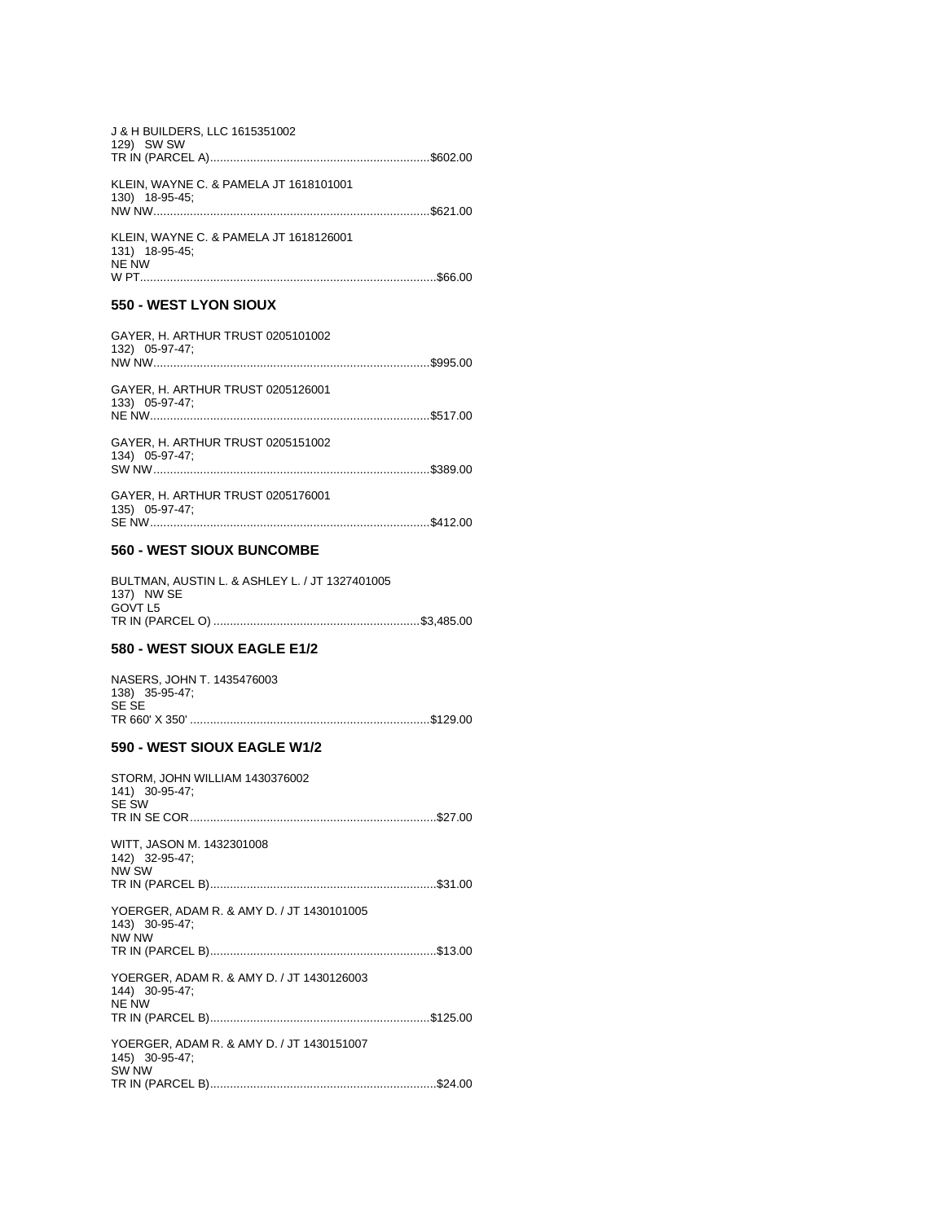| J & H BUILDERS, LLC 1615351002<br>129) SW SW                            |
|-------------------------------------------------------------------------|
| KLEIN, WAYNE C. & PAMELA JT 1618101001<br>130) 18-95-45;                |
| KLEIN, WAYNE C. & PAMELA JT 1618126001<br>131) 18-95-45;<br>NE NW       |
| 550 - WEST LYON SIOUX                                                   |
| GAYER, H. ARTHUR TRUST 0205101002<br>132) 05-97-47;                     |
| GAYER, H. ARTHUR TRUST 0205126001<br>133) 05-97-47;                     |
| GAYER, H. ARTHUR TRUST 0205151002<br>134) 05-97-47;                     |
| GAYER, H. ARTHUR TRUST 0205176001<br>135) 05-97-47;                     |
| 560 - WEST SIOUX BUNCOMBE                                               |
| BULTMAN, AUSTIN L. & ASHLEY L. / JT 1327401005<br>137) NW SE<br>GOVT L5 |
| <b>580 - WEST SIOUX EAGLE E1/2</b>                                      |
| NASERS, JOHN T. 1435476003<br>138) 35-95-47;<br>SE SE                   |
| 590 - WEST SIOUX EAGLE W1/2                                             |
| STORM, JOHN WILLIAM 1430376002<br>141) 30-95-47;<br>SE SW               |
| WITT, JASON M. 1432301008<br>142) 32-95-47;<br>NW SW                    |
| YOERGER, ADAM R. & AMY D. / JT 1430101005                               |
| 143) 30-95-47;<br>NW NW                                                 |
| YOERGER, ADAM R. & AMY D. / JT 1430126003                               |
| 144) 30-95-47;<br><b>NE NW</b>                                          |
| YOERGER, ADAM R. & AMY D. / JT 1430151007<br>145) 30-95-47;<br>SW NW    |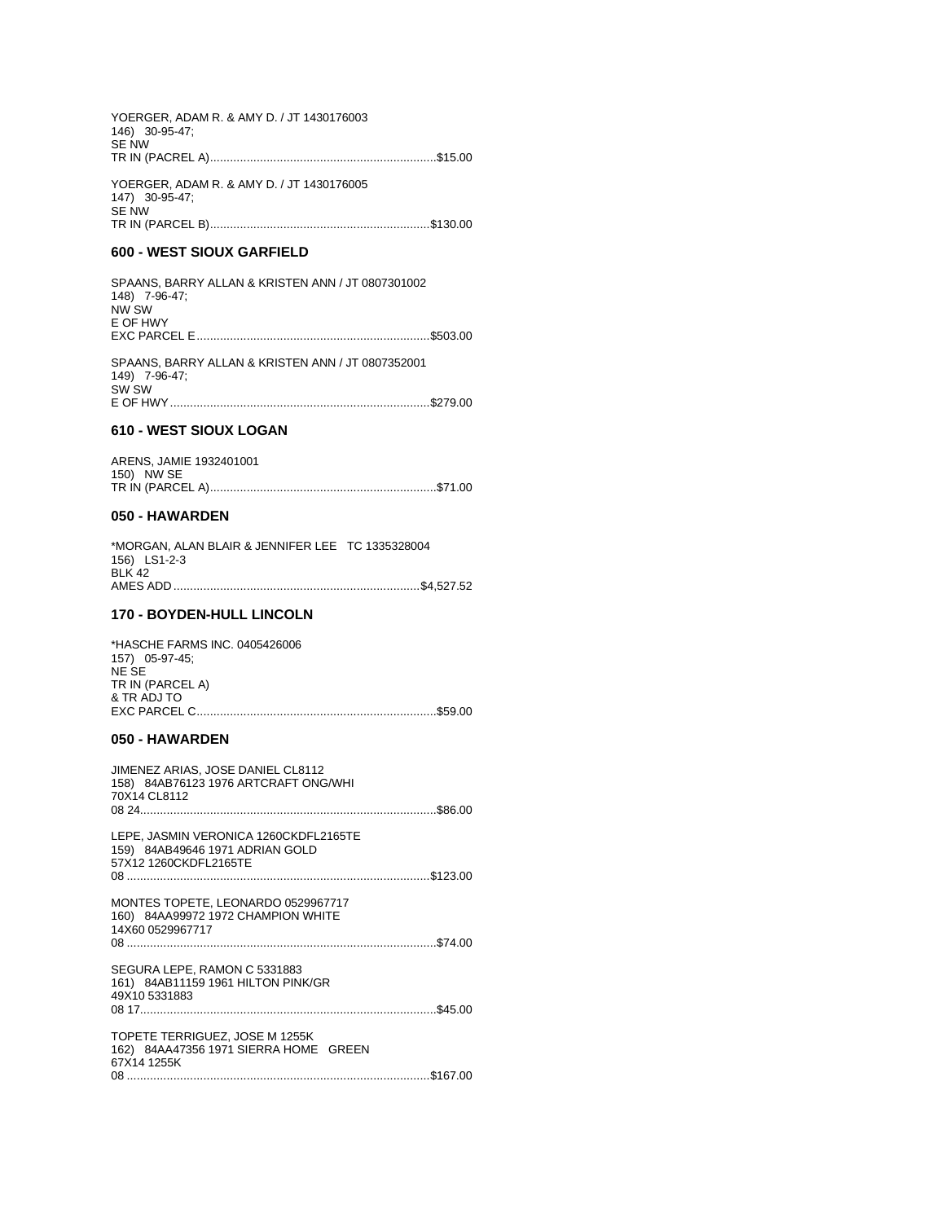| YOERGER, ADAM R. & AMY D. / JT 1430176003<br>146) 30-95-47;<br><b>SE NW</b> |  |
|-----------------------------------------------------------------------------|--|
| YOERGER, ADAM R. & AMY D. / JT 1430176005<br>147) 30-95-47;<br><b>SE NW</b> |  |
|                                                                             |  |

#### 600 - WEST SIOUX GARFIELD

SPAANS, BARRY ALLAN & KRISTEN ANN / JT 0807301002 148) 7-96-47;<br>NW SW E OF HWY SPAANS, BARRY ALLAN & KRISTEN ANN / JT 0807352001

 $149)$  7-96-47;<br>SW SW 

## 610 - WEST SIOUX LOGAN

|            | ARENS, JAMIE 1932401001 |  |
|------------|-------------------------|--|
| 150) NW SE |                         |  |
|            |                         |  |

#### 050 - HAWARDEN

| *MORGAN, ALAN BLAIR & JENNIFER LEE TC 1335328004 |  |
|--------------------------------------------------|--|
| 156) LS1-2-3                                     |  |
| <b>BLK 42</b>                                    |  |
|                                                  |  |
|                                                  |  |

## 170 - BOYDEN-HULL LINCOLN

| *HASCHE FARMS INC. 0405426006 |  |
|-------------------------------|--|
| 157) 05-97-45;                |  |
| NE SE                         |  |
| TR IN (PARCEL A)              |  |
| & TR ADJ TO                   |  |
|                               |  |
|                               |  |

## 050 - HAWARDEN

| JIMENEZ ARIAS, JOSE DANIEL CL8112<br>158) 84AB76123 1976 ARTCRAFT ONG/WHI<br>70X14 CL8112         |  |
|---------------------------------------------------------------------------------------------------|--|
| LEPE, JASMIN VERONICA 1260CKDFL2165TE<br>159) 84AB49646 1971 ADRIAN GOLD<br>57X12 1260CKDFL2165TE |  |
| MONTES TOPETE, LEONARDO 0529967717<br>160) 84AA99972 1972 CHAMPION WHITE<br>14X60 0529967717      |  |
| SEGURA LEPE, RAMON C 5331883<br>161) 84AB11159 1961 HILTON PINK/GR<br>49X10 5331883               |  |
| TOPETE TERRIGUEZ, JOSE M 1255K<br>162) 84AA47356 1971 SIERRA HOME GREEN<br>67X14 1255K            |  |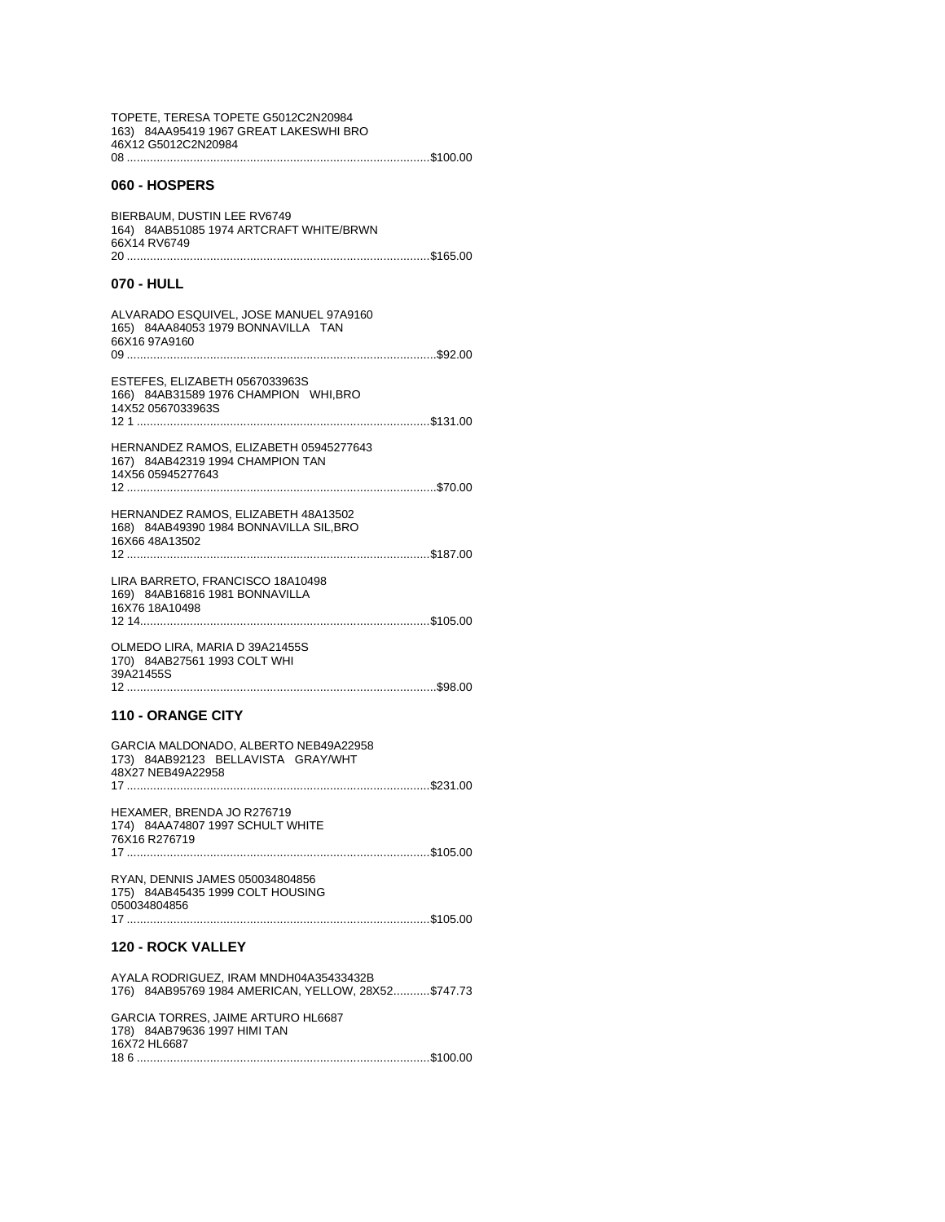| TOPETE, TERESA TOPETE G5012C2N20984<br>163) 84AA95419 1967 GREAT LAKESWHI BRO<br>46X12 G5012C2N20984 |
|------------------------------------------------------------------------------------------------------|
|                                                                                                      |
| 060 - HOSPERS                                                                                        |
| BIERBAUM, DUSTIN LEE RV6749<br>164) 84AB51085 1974 ARTCRAFT WHITE/BRWN<br>66X14 RV6749               |
| 070 - HULL                                                                                           |
| ALVARADO ESQUIVEL, JOSE MANUEL 97A9160<br>165) 84AA84053 1979 BONNAVILLA TAN<br>66X16 97A9160<br>09  |
|                                                                                                      |
| ESTEFES, ELIZABETH 0567033963S<br>166) 84AB31589 1976 CHAMPION WHI, BRO<br>14X52 0567033963S         |
|                                                                                                      |
| HERNANDEZ RAMOS, ELIZABETH 05945277643<br>167) 84AB42319 1994 CHAMPION TAN<br>14X56 05945277643      |
|                                                                                                      |
| HERNANDEZ RAMOS, ELIZABETH 48A13502<br>168) 84AB49390 1984 BONNAVILLA SIL, BRO<br>16X66 48A13502     |
| LIRA BARRETO, FRANCISCO 18A10498                                                                     |
| 169) 84AB16816 1981 BONNAVILLA<br>16X76 18A10498                                                     |
| OLMEDO LIRA, MARIA D 39A21455S<br>170) 84AB27561 1993 COLT WHI<br>39A21455S                          |
| 12                                                                                                   |
| <b>110 - ORANGE CITY</b>                                                                             |
| GARCIA MALDONADO, ALBERTO NEB49A22958                                                                |
| 173) 84AB92123 BELLAVISTA GRAY/WHT<br>48X27 NEB49A22958                                              |
|                                                                                                      |
| HEXAMER, BRENDA JO R276719<br>174) 84AA74807 1997 SCHULT WHITE<br>76X16 R276719                      |
| RYAN, DENNIS JAMES 050034804856                                                                      |
| 175) 84AB45435 1999 COLT HOUSING<br>050034804856<br>17                                               |
| <b>120 - ROCK VALLEY</b>                                                                             |
| AYALA RODRIGUEZ, IRAM MNDH04A35433432B<br>176) 84AB95769 1984 AMERICAN, YELLOW, 28X52\$747.73        |
| GARCIA TORRES, JAIME ARTURO HL6687<br>178) 84AB79636 1997 HIMI TAN                                   |
| 16X72 HL6687                                                                                         |